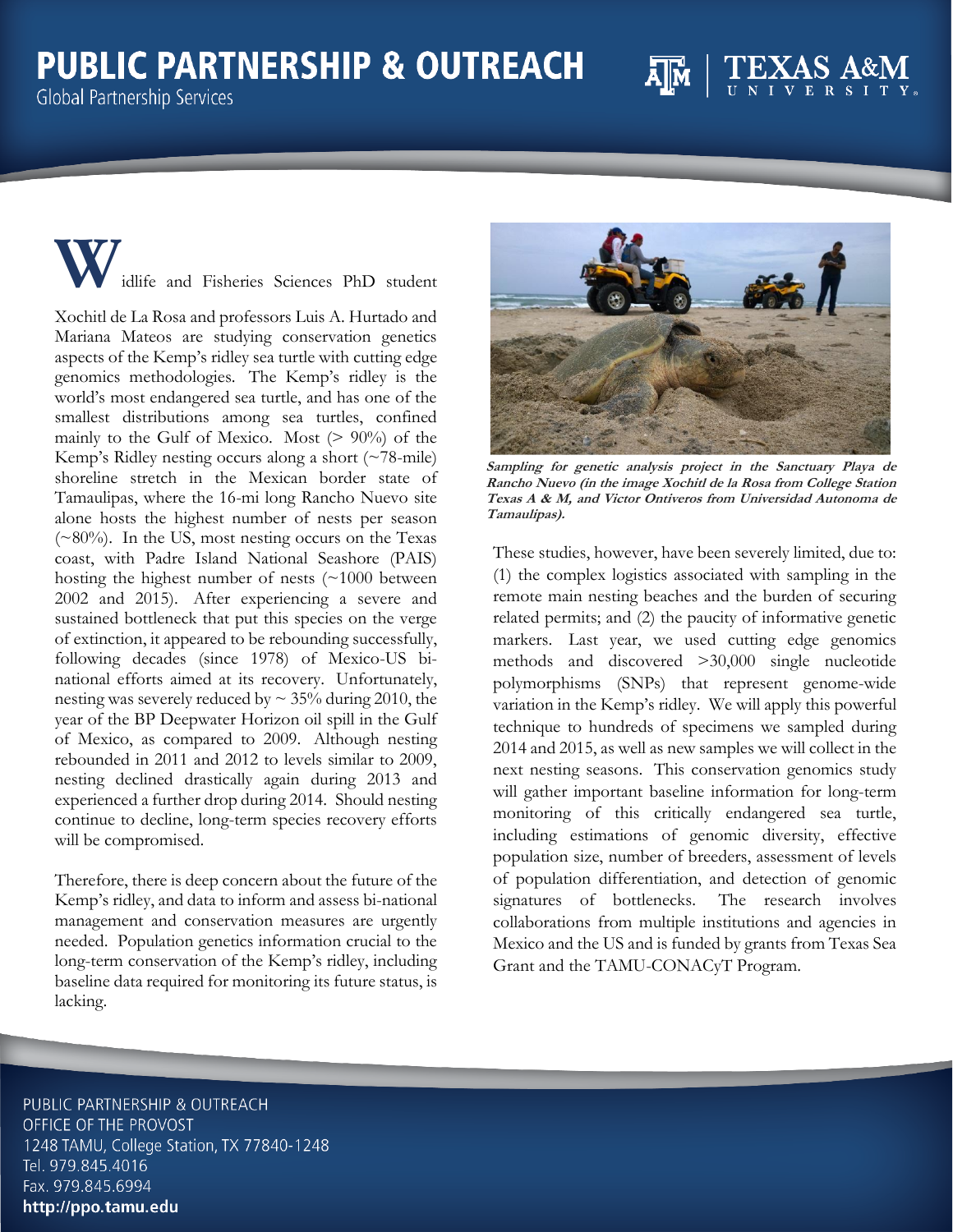## **PUBLIC PARTNERSHIP & OUTREACH**

**Global Partnership Services** 

**W**idlife and Fisheries Sciences PhD student

Xochitl de La Rosa and professors Luis A. Hurtado and Mariana Mateos are studying conservation genetics aspects of the Kemp's ridley sea turtle with cutting edge genomics methodologies. The Kemp's ridley is the world's most endangered sea turtle, and has one of the smallest distributions among sea turtles, confined mainly to the Gulf of Mexico. Most  $(> 90\%)$  of the Kemp's Ridley nesting occurs along a short (~78-mile) shoreline stretch in the Mexican border state of Tamaulipas, where the 16-mi long Rancho Nuevo site alone hosts the highest number of nests per season (~80%). In the US, most nesting occurs on the Texas coast, with Padre Island National Seashore (PAIS) hosting the highest number of nests (~1000 between 2002 and 2015). After experiencing a severe and sustained bottleneck that put this species on the verge of extinction, it appeared to be rebounding successfully, following decades (since 1978) of Mexico-US binational efforts aimed at its recovery. Unfortunately, nesting was severely reduced by  $\sim$  35% during 2010, the year of the BP Deepwater Horizon oil spill in the Gulf of Mexico, as compared to 2009. Although nesting rebounded in 2011 and 2012 to levels similar to 2009, nesting declined drastically again during 2013 and experienced a further drop during 2014. Should nesting continue to decline, long-term species recovery efforts will be compromised.

Therefore, there is deep concern about the future of the Kemp's ridley, and data to inform and assess bi-national management and conservation measures are urgently needed. Population genetics information crucial to the long-term conservation of the Kemp's ridley, including baseline data required for monitoring its future status, is lacking.



**Sampling for genetic analysis project in the Sanctuary Playa de Rancho Nuevo (in the image Xochitl de la Rosa from College Station Texas A & M, and Victor Ontiveros from Universidad Autonoma de Tamaulipas).**

These studies, however, have been severely limited, due to: (1) the complex logistics associated with sampling in the remote main nesting beaches and the burden of securing related permits; and (2) the paucity of informative genetic markers. Last year, we used cutting edge genomics methods and discovered >30,000 single nucleotide polymorphisms (SNPs) that represent genome-wide variation in the Kemp's ridley. We will apply this powerful technique to hundreds of specimens we sampled during 2014 and 2015, as well as new samples we will collect in the next nesting seasons. This conservation genomics study will gather important baseline information for long-term monitoring of this critically endangered sea turtle, including estimations of genomic diversity, effective population size, number of breeders, assessment of levels of population differentiation, and detection of genomic signatures of bottlenecks. The research involves collaborations from multiple institutions and agencies in Mexico and the US and is funded by grants from Texas Sea Grant and the TAMU-CONACyT Program.

PUBLIC PARTNERSHIP & OUTREACH OFFICE OF THE PROVOST 1248 TAMU, College Station, TX 77840-1248 Tel. 979.845.4016 Fax. 979.845.6994 http://ppo.tamu.edu